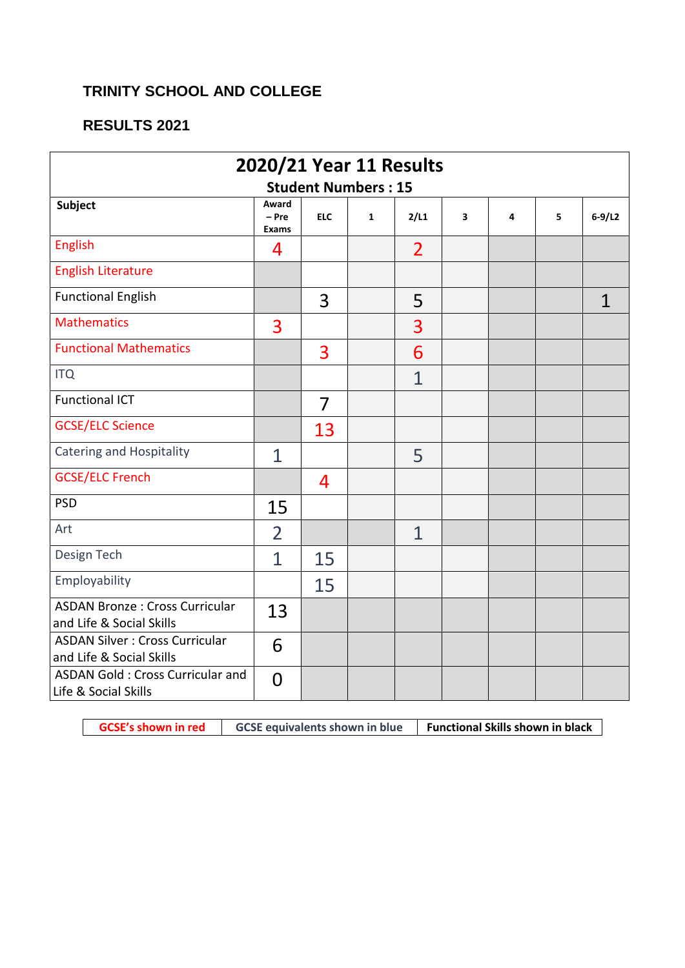## **TRINITY SCHOOL AND COLLEGE**

## **RESULTS 2021**

| 2020/21 Year 11 Results                                           |                                  |            |              |                |                         |   |   |          |
|-------------------------------------------------------------------|----------------------------------|------------|--------------|----------------|-------------------------|---|---|----------|
| <b>Student Numbers: 15</b>                                        |                                  |            |              |                |                         |   |   |          |
| <b>Subject</b>                                                    | Award<br>$- Pre$<br><b>Exams</b> | <b>ELC</b> | $\mathbf{1}$ | 2/L1           | $\overline{\mathbf{3}}$ | 4 | 5 | $6-9/L2$ |
| <b>English</b>                                                    | 4                                |            |              | $\overline{2}$ |                         |   |   |          |
| <b>English Literature</b>                                         |                                  |            |              |                |                         |   |   |          |
| <b>Functional English</b>                                         |                                  | 3          |              | 5              |                         |   |   | 1        |
| <b>Mathematics</b>                                                | 3                                |            |              | 3              |                         |   |   |          |
| <b>Functional Mathematics</b>                                     |                                  | 3          |              | 6              |                         |   |   |          |
| <b>ITQ</b>                                                        |                                  |            |              | $\overline{1}$ |                         |   |   |          |
| <b>Functional ICT</b>                                             |                                  | 7          |              |                |                         |   |   |          |
| <b>GCSE/ELC Science</b>                                           |                                  | 13         |              |                |                         |   |   |          |
| <b>Catering and Hospitality</b>                                   | $\overline{1}$                   |            |              | 5              |                         |   |   |          |
| <b>GCSE/ELC French</b>                                            |                                  | 4          |              |                |                         |   |   |          |
| <b>PSD</b>                                                        | 15                               |            |              |                |                         |   |   |          |
| Art                                                               | $\overline{2}$                   |            |              | $\mathbf 1$    |                         |   |   |          |
| Design Tech                                                       | $\overline{1}$                   | 15         |              |                |                         |   |   |          |
| Employability                                                     |                                  | 15         |              |                |                         |   |   |          |
| <b>ASDAN Bronze: Cross Curricular</b><br>and Life & Social Skills | 13                               |            |              |                |                         |   |   |          |
| <b>ASDAN Silver: Cross Curricular</b><br>and Life & Social Skills | 6                                |            |              |                |                         |   |   |          |
| <b>ASDAN Gold: Cross Curricular and</b><br>Life & Social Skills   | $\overline{0}$                   |            |              |                |                         |   |   |          |

**GCSE's shown in red GCSE equivalents shown in blue Functional Skills shown in black**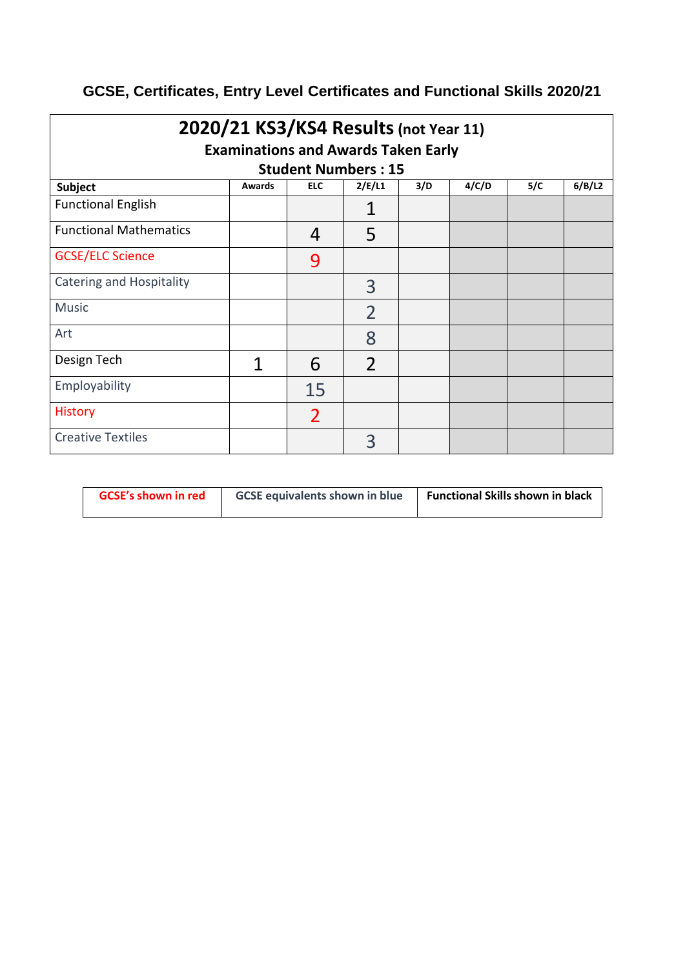## **GCSE, Certificates, Entry Level Certificates and Functional Skills 2020/21**

| 2020/21 KS3/KS4 Results (not Year 11)<br><b>Examinations and Awards Taken Early</b> |        |                            |                |     |       |     |        |
|-------------------------------------------------------------------------------------|--------|----------------------------|----------------|-----|-------|-----|--------|
|                                                                                     |        | <b>Student Numbers: 15</b> |                |     |       |     |        |
| <b>Subject</b>                                                                      | Awards | <b>ELC</b>                 | 2/E/L1         | 3/D | 4/C/D | 5/C | 6/B/L2 |
| <b>Functional English</b>                                                           |        |                            | 1              |     |       |     |        |
| <b>Functional Mathematics</b>                                                       |        | 4                          | 5              |     |       |     |        |
| <b>GCSE/ELC Science</b>                                                             |        | 9                          |                |     |       |     |        |
| <b>Catering and Hospitality</b>                                                     |        |                            | 3              |     |       |     |        |
| <b>Music</b>                                                                        |        |                            | $\overline{2}$ |     |       |     |        |
| Art                                                                                 |        |                            | 8              |     |       |     |        |
| Design Tech                                                                         | 1      | 6                          | $\overline{2}$ |     |       |     |        |
| Employability                                                                       |        | 15                         |                |     |       |     |        |
| <b>History</b>                                                                      |        | 2                          |                |     |       |     |        |
| <b>Creative Textiles</b>                                                            |        |                            | 3              |     |       |     |        |

| <b>GCSE's shown in red</b> | <b>GCSE equivalents shown in blue</b> | <b>Functional Skills shown in black</b> |
|----------------------------|---------------------------------------|-----------------------------------------|
|                            |                                       |                                         |